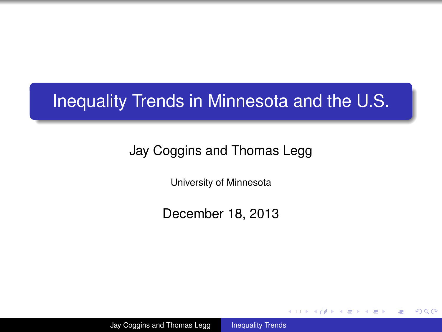## Inequality Trends in Minnesota and the U.S.

## Jay Coggins and Thomas Legg

University of Minnesota

December 18, 2013

イロメ イ押 メイヨメ イヨメ

<span id="page-0-0"></span>重  $2Q$ 

Jay Coggins and Thomas Legg [Inequality Trends](#page-28-0)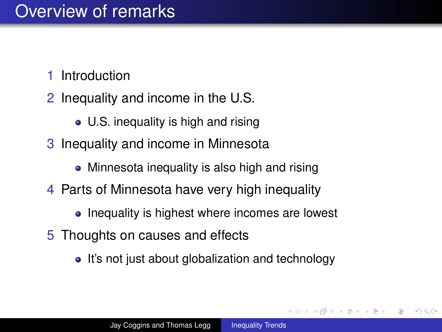## Overview of remarks

- 1 Introduction
- 2 Inequality and income in the U.S.
	- U.S. inequality is high and rising
- 3 Inequality and income in Minnesota
	- Minnesota inequality is also high and rising
- 4 Parts of Minnesota have very high inequality
	- Inequality is highest where incomes are lowest
- 5 Thoughts on causes and effects
	- It's not just about globalization and technology

**K ロ ト K 何 ト K ヨ ト** 

 $QQQ$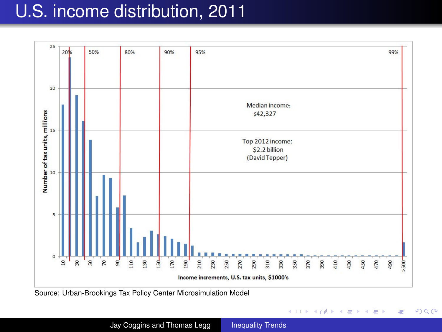## U.S. income distribution, 2011



 $(1 - 4)$   $(1 - 4)$   $(1 - 4)$   $(1 - 4)$   $(1 - 4)$   $(1 - 4)$   $(1 - 4)$   $(1 - 4)$   $(1 - 4)$   $(1 - 4)$   $(1 - 4)$   $(1 - 4)$   $(1 - 4)$   $(1 - 4)$   $(1 - 4)$   $(1 - 4)$   $(1 - 4)$   $(1 - 4)$   $(1 - 4)$   $(1 - 4)$   $(1 - 4)$   $(1 - 4)$   $(1 - 4)$   $(1 - 4)$   $(1 -$ 

÷.

Source: Urban-Brookings Tax Policy Center Microsimulation Model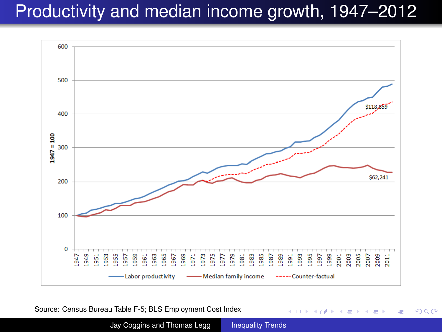# Productivity and median income growth, 1947–2012



Source: Census Bureau Table F-5; BLS Employment Cost Index

Jay Coggins and Thomas Legg [Inequality Trends](#page-0-0)

 $4$  ロ }  $4$   $6$  }  $4$   $\pm$  }  $4$   $\pm$  }

÷.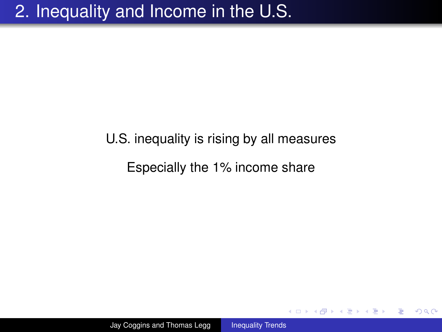# U.S. inequality is rising by all measures Especially the 1% income share

 $2990$ 

G.

イロメ イ押 メイヨメ イヨメ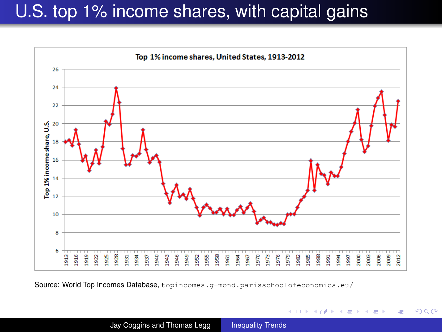## U.S. top 1% income shares, with capital gains



Source: World Top Incomes Database, topincomes.g-mond.parisschoolofeconomics.eu/

4 ロ ) (何 ) (日 ) (日 )

B

<span id="page-5-0"></span> $QQQ$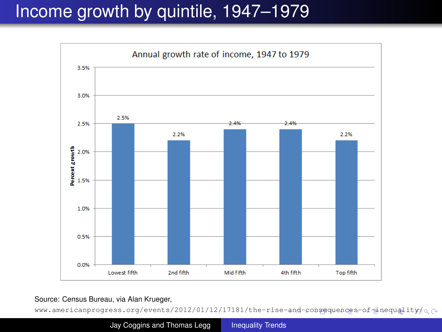# Income growth by quintile, 1947–1979



Source: Census Bureau, via Alan Krueger,

<span id="page-6-0"></span>www.americanprogress.org/events/2012/01/12/17181/the-rise[-an](#page-5-0)d[-c](#page-7-0)[on](#page-5-0)[seq](#page-6-0)[u](#page-7-0)[enc](#page-0-0)[es-](#page-28-0)[of-](#page-0-0)[ine](#page-28-0)[qua](#page-0-0)[lit](#page-28-0)y/ $\alpha \sim$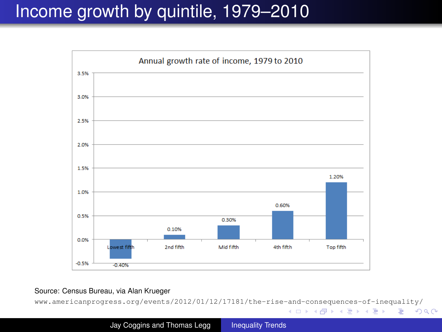## Income growth by quintile, 1979–2010



Source: Census Bureau, via Alan Krueger

www.americanprogress.org/events/2012/01/12/17181/the-rise[-an](#page-6-0)d[-c](#page-8-0)[on](#page-6-0)[seq](#page-7-0)[u](#page-8-0)[enc](#page-0-0)[es-](#page-28-0)[of-](#page-0-0)[ine](#page-28-0)[qua](#page-0-0)[lit](#page-28-0)y/

<span id="page-7-0"></span>KO KARK KEK KEK E YOKA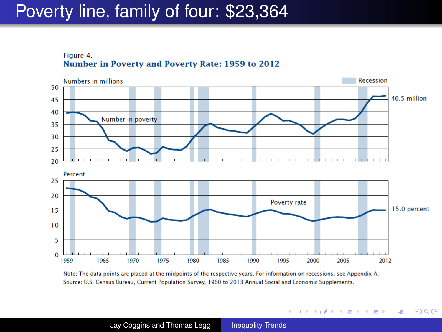## Poverty line, family of four: \$23,364

Figure 4. Number in Poverty and Poverty Rate: 1959 to 2012



Note: The data points are placed at the midpoints of the respective years. For information on recessions, see Appendix A. Source: U.S. Census Bureau, Current Population Survey, 1960 to 2013 Annual Social and Economic Supplements.

<span id="page-8-0"></span>イロト イ押 トイヨト イヨト 一重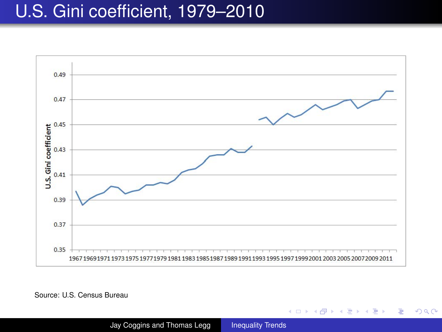## U.S. Gini coefficient, 1979–2010



Source: U.S. Census Bureau

 $(1 - 4)$   $(1 - 4)$   $(1 - 4)$   $(1 - 4)$   $(1 - 4)$   $(1 - 4)$   $(1 - 4)$   $(1 - 4)$   $(1 - 4)$   $(1 - 4)$   $(1 - 4)$   $(1 - 4)$   $(1 - 4)$   $(1 - 4)$   $(1 - 4)$   $(1 - 4)$   $(1 - 4)$   $(1 - 4)$   $(1 - 4)$   $(1 - 4)$   $(1 - 4)$   $(1 - 4)$   $(1 - 4)$   $(1 - 4)$   $(1 -$ 

÷.  $2990$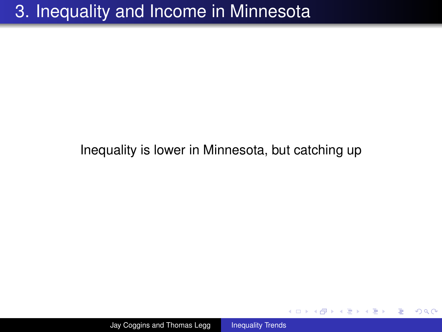## 3. Inequality and Income in Minnesota

### Inequality is lower in Minnesota, but catching up

イロメ 不優 おす 重 おす 悪 おし

重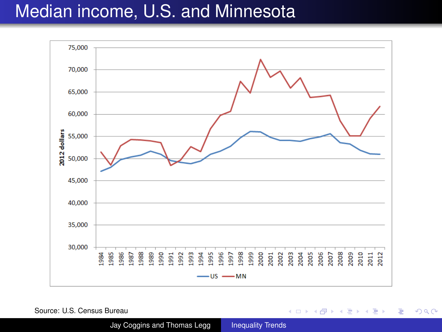## Median income, U.S. and Minnesota



Source: U.S. Census Bureau

Jay Coggins and Thomas Legg [Inequality Trends](#page-0-0)

イロト イ押 トイヨ トイヨ トー

 $\Rightarrow$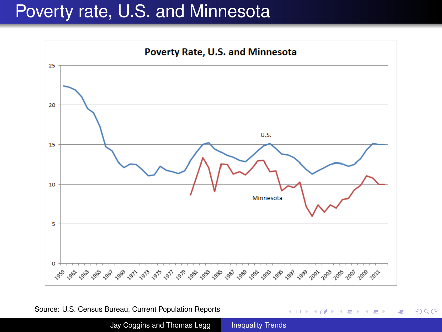## Poverty rate, U.S. and Minnesota



Source: U.S. Census Bureau, Current Population Reports

Jay Coggins and Thomas Legg [Inequality Trends](#page-0-0)

4 ロ ) (何 ) (日 ) (日 )

÷.  $2990$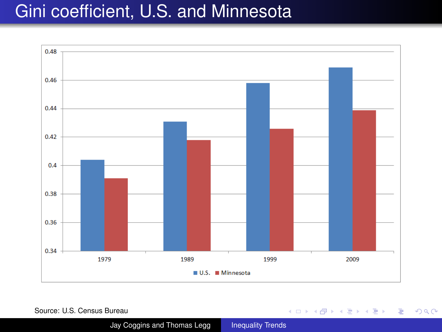## Gini coefficient, U.S. and Minnesota



Source: U.S. Census Bureau

Jay Coggins and Thomas Legg [Inequality Trends](#page-0-0)

イロトメ 御 トメ 君 トメ 君 トー 君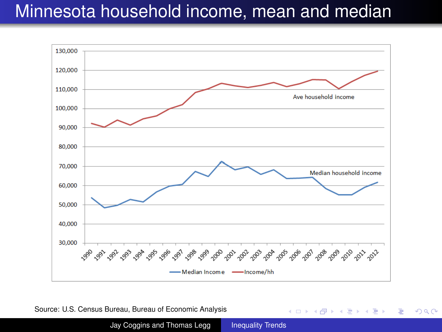## Minnesota household income, mean and median



Source: U.S. Census Bureau, Bureau of Economic Analysis

Jay Coggins and Thomas Legg [Inequality Trends](#page-0-0)

**K ロ ▶ K 何 ▶ K ヨ ▶ K ヨ ▶** 

重し  $2990$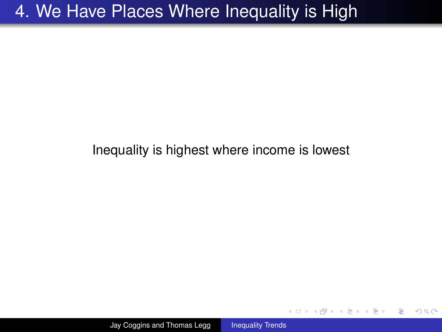## 4. We Have Places Where Inequality is High

### Inequality is highest where income is lowest

重

イロト イ押 トイヨ トイヨ トー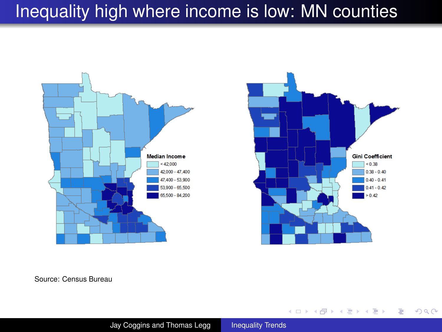# Inequality high where income is low: MN counties





**KO K K (F) K E K (E) K E K Y Q (A)** 

Source: Census Bureau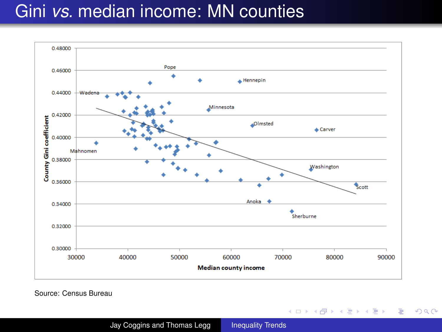## Gini *vs.* median income: MN counties



Source: Census Bureau

イロメ 不優 トメ ヨ メ ス ヨ メー

÷.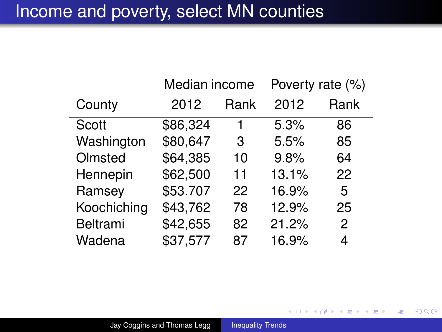## Income and poverty, select MN counties

|             | Median income |      | Poverty rate (%) |      |
|-------------|---------------|------|------------------|------|
| County      | 2012          | Rank | 2012             | Rank |
| Scott       | \$86,324      | 1    | 5.3%             | 86   |
| Washington  | \$80,647      | 3    | 5.5%             | 85   |
| Olmsted     | \$64,385      | 10   | 9.8%             | 64   |
| Hennepin    | \$62,500      | 11   | 13.1%            | 22   |
| Ramsey      | \$53.707      | 22   | 16.9%            | 5    |
| Koochiching | \$43,762      | 78   | 12.9%            | 25   |
| Beltrami    | \$42,655      | 82   | 21.2%            | 2    |
| Wadena      | \$37,577      | 87   | 16.9%            | 4    |

イロト イ部 トイモト イモトー

 $\equiv$  990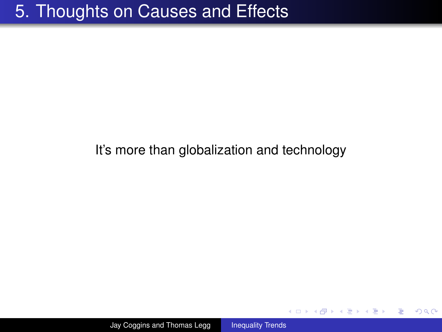## It's more than globalization and technology

高山  $2990$ 

イロト イ押 トイヨ トイヨ トー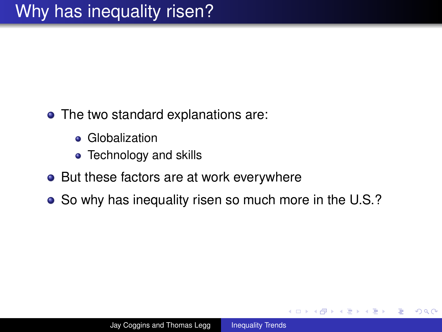- The two standard explanations are:
	- **•** Globalization
	- Technology and skills
- But these factors are at work everywhere
- So why has inequality risen so much more in the U.S.?

イロメ イ伊 メイヨメ

ă,  $QQQ$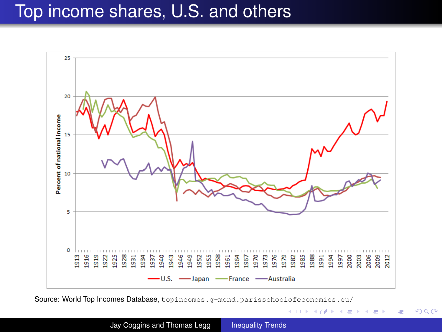## Top income shares, U.S. and others



Source: World Top Incomes Database, topincomes.g-mond.parisschoolofeconomics.eu/

Jay Coggins and Thomas Legg [Inequality Trends](#page-0-0)

イロト イ団ト イヨト イヨト

 $2990$ 

B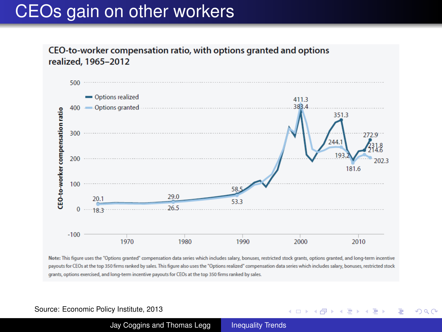## CEOs gain on other workers

CEO-to-worker compensation ratio, with options granted and options realized, 1965-2012



Note: This figure uses the "Options granted" compensation data series which includes salary, bonuses, restricted stock grants, options granted, and long-term incentive payouts for CEOs at the top 350 firms ranked by sales. This figure also uses the "Options realized" compensation data series which includes salary, bonuses, restricted stock grants, options exercised, and long-term incentive payouts for CEOs at the top 350 firms ranked by sales.

#### Source: Economic Policy Institute, 2013

Jay Coggins and Thomas Legg [Inequality Trends](#page-0-0)

4 ロ ) (何 ) (日 ) (日 )

B

 $2Q$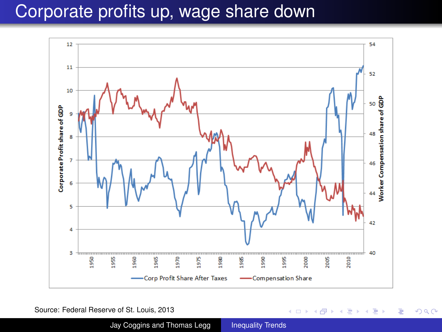## Corporate profits up, wage share down



Source: Federal Reserve of St. Louis, 2013

Jay Coggins and Thomas Legg [Inequality Trends](#page-0-0)

イロト イ部 トイモト イモトー

 $\Rightarrow$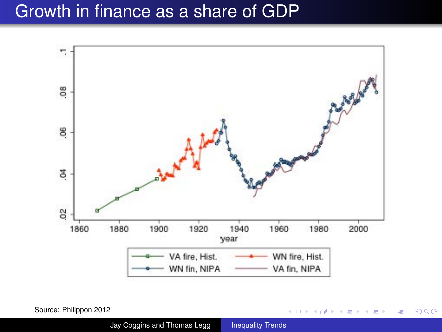## Growth in finance as a share of GDP



Source: Philippon 2012

Jay Coggins and Thomas Legg [Inequality Trends](#page-0-0)

**K ロメ K 御 メ K 君 メ K 君 X** 

重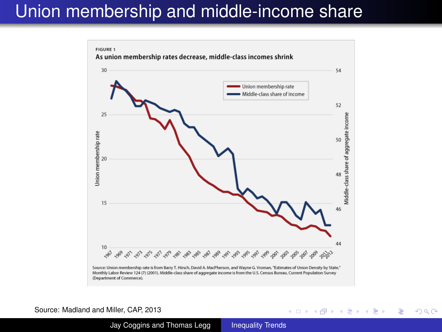## Union membership and middle-income share



#### Source: Madland and Miller, CAP, 2013

Jay Coggins and Thomas Legg [Inequality Trends](#page-0-0)

 $(1 - 4)$   $(1 - 4)$   $(1 - 4)$   $(1 - 4)$   $(1 - 4)$   $(1 - 4)$   $(1 - 4)$   $(1 - 4)$   $(1 - 4)$   $(1 - 4)$   $(1 - 4)$   $(1 - 4)$   $(1 - 4)$   $(1 - 4)$   $(1 - 4)$   $(1 - 4)$   $(1 - 4)$   $(1 - 4)$   $(1 - 4)$   $(1 - 4)$   $(1 - 4)$   $(1 - 4)$   $(1 - 4)$   $(1 - 4)$   $(1 -$ 

G.

 $2Q$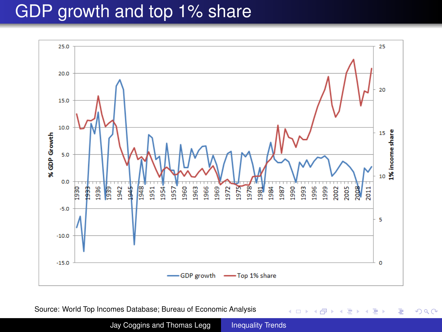## GDP growth and top 1% share



Source: World Top Incomes Database; Bureau of Economic Analysis

Jay Coggins and Thomas Legg [Inequality Trends](#page-0-0)

K ロ ⊁ K 個 ≯ K 君 ⊁ K 君 ⊁

重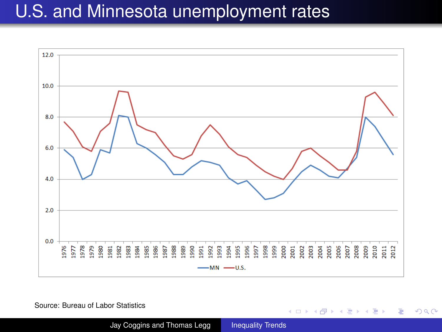## U.S. and Minnesota unemployment rates



Source: Bureau of Labor Statistics

Jay Coggins and Thomas Legg [Inequality Trends](#page-0-0)

イロト イ押 トイヨ トイヨ トー

÷.